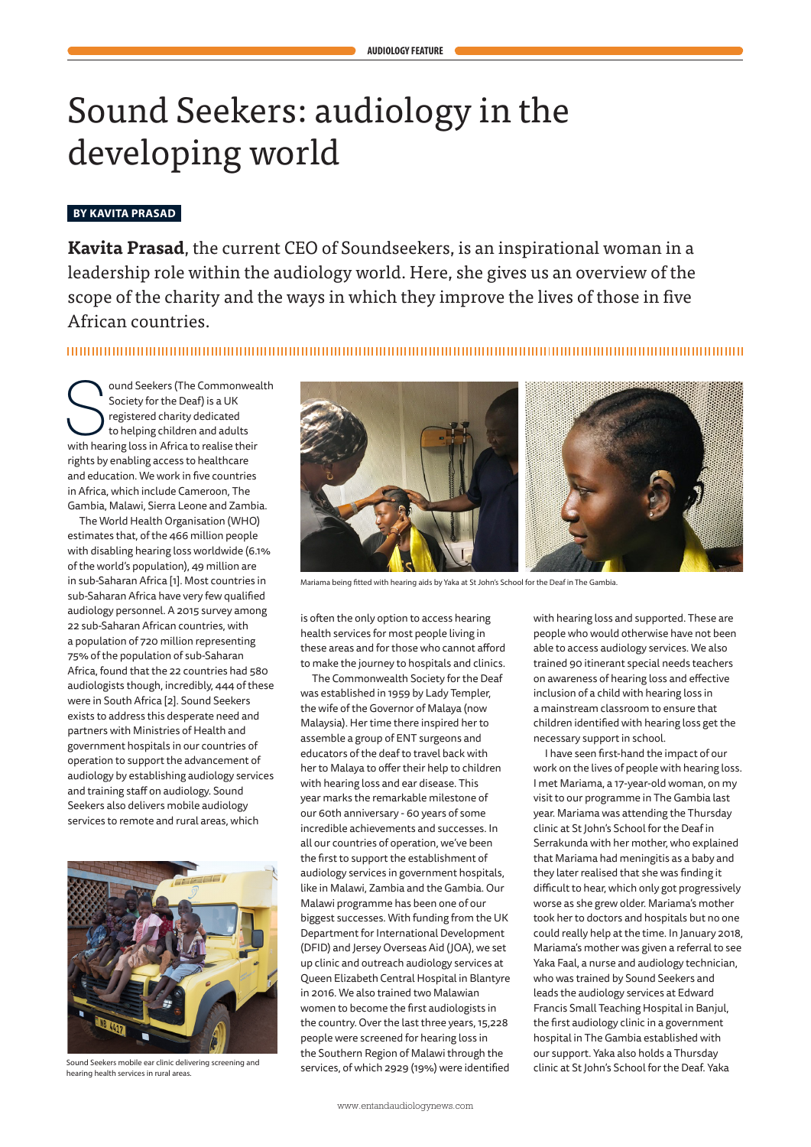# Sound Seekers: audiology in the developing world

# **BY KAVITA PRASAD**

**Kavita Prasad**, the current CEO of Soundseekers, is an inspirational woman in a leadership role within the audiology world. Here, she gives us an overview of the scope of the charity and the ways in which they improve the lives of those in five African countries.

Society for the Deaf) is a UK<br>
Society for the Deaf) is a UK<br>
to helping children and adults<br>
with hearing loss in Africa to realise their Society for the Deaf) is a UK registered charity dedicated to helping children and adults rights by enabling access to healthcare and education. We work in five countries in Africa, which include Cameroon, The Gambia, Malawi, Sierra Leone and Zambia.

The World Health Organisation (WHO) estimates that, of the 466 million people with disabling hearing loss worldwide (6.1% of the world's population), 49 million are in sub-Saharan Africa [1]. Most countries in sub-Saharan Africa have very few qualified audiology personnel. A 2015 survey among 22 sub-Saharan African countries, with a population of 720 million representing 75% of the population of sub-Saharan Africa, found that the 22 countries had 580 audiologists though, incredibly, 444 of these were in South Africa [2]. Sound Seekers exists to address this desperate need and partners with Ministries of Health and government hospitals in our countries of operation to support the advancement of audiology by establishing audiology services and training staff on audiology. Sound Seekers also delivers mobile audiology services to remote and rural areas, which



Sound Seekers mobile ear clinic delivering screening and hearing health services in rural areas.



Mariama being fitted with hearing aids by Yaka at St John's School for the Deaf in The Gambia.

is often the only option to access hearing health services for most people living in these areas and for those who cannot afford to make the journey to hospitals and clinics.

The Commonwealth Society for the Deaf was established in 1959 by Lady Templer, the wife of the Governor of Malaya (now Malaysia). Her time there inspired her to assemble a group of ENT surgeons and educators of the deaf to travel back with her to Malaya to offer their help to children with hearing loss and ear disease. This year marks the remarkable milestone of our 60th anniversary - 60 years of some incredible achievements and successes. In all our countries of operation, we've been the first to support the establishment of audiology services in government hospitals, like in Malawi, Zambia and the Gambia. Our Malawi programme has been one of our biggest successes. With funding from the UK Department for International Development (DFID) and Jersey Overseas Aid (JOA), we set up clinic and outreach audiology services at Queen Elizabeth Central Hospital in Blantyre in 2016. We also trained two Malawian women to become the first audiologists in the country. Over the last three years, 15,228 people were screened for hearing loss in the Southern Region of Malawi through the services, of which 2929 (19%) were identified with hearing loss and supported. These are people who would otherwise have not been able to access audiology services. We also trained 90 itinerant special needs teachers on awareness of hearing loss and effective inclusion of a child with hearing loss in a mainstream classroom to ensure that children identified with hearing loss get the necessary support in school.

I have seen first-hand the impact of our work on the lives of people with hearing loss. I met Mariama, a 17-year-old woman, on my visit to our programme in The Gambia last year. Mariama was attending the Thursday clinic at St John's School for the Deaf in Serrakunda with her mother, who explained that Mariama had meningitis as a baby and they later realised that she was finding it difficult to hear, which only got progressively worse as she grew older. Mariama's mother took her to doctors and hospitals but no one could really help at the time. In January 2018, Mariama's mother was given a referral to see Yaka Faal, a nurse and audiology technician, who was trained by Sound Seekers and leads the audiology services at Edward Francis Small Teaching Hospital in Banjul, the first audiology clinic in a government hospital in The Gambia established with our support. Yaka also holds a Thursday clinic at St John's School for the Deaf. Yaka